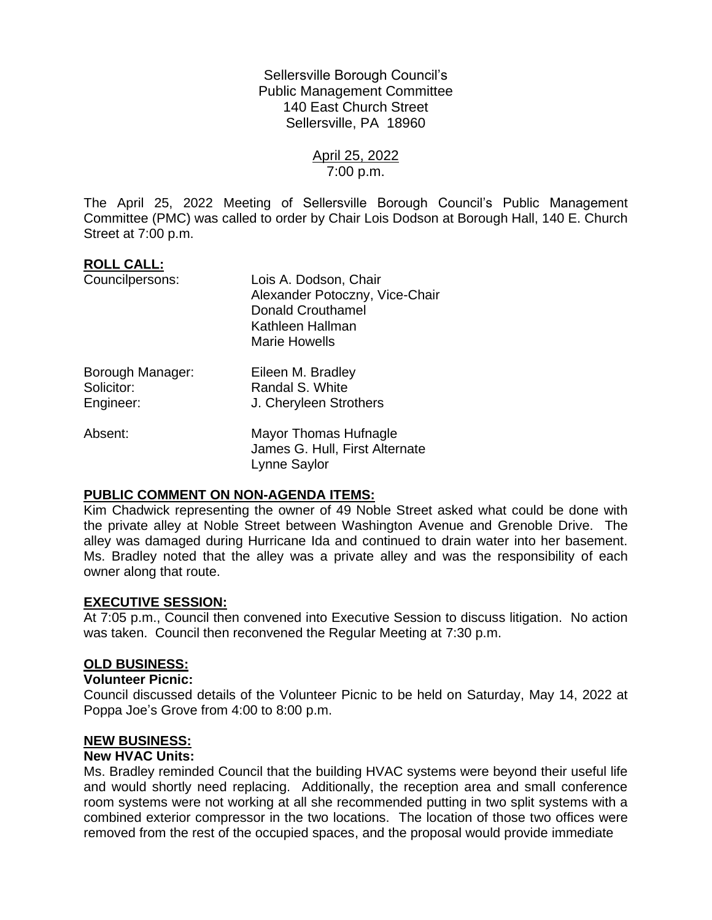Sellersville Borough Council's Public Management Committee 140 East Church Street Sellersville, PA 18960

> April 25, 2022 7:00 p.m.

The April 25, 2022 Meeting of Sellersville Borough Council's Public Management Committee (PMC) was called to order by Chair Lois Dodson at Borough Hall, 140 E. Church Street at 7:00 p.m.

# **ROLL CALL:**

| Councilpersons:                             | Lois A. Dodson, Chair<br>Alexander Potoczny, Vice-Chair<br><b>Donald Crouthamel</b><br>Kathleen Hallman<br>Marie Howells |
|---------------------------------------------|--------------------------------------------------------------------------------------------------------------------------|
| Borough Manager:<br>Solicitor:<br>Engineer: | Eileen M. Bradley<br>Randal S. White<br>J. Cheryleen Strothers                                                           |
| Absent:                                     | Mayor Thomas Hufnagle<br>James G. Hull, First Alternate<br><b>Lynne Saylor</b>                                           |

## **PUBLIC COMMENT ON NON-AGENDA ITEMS:**

Kim Chadwick representing the owner of 49 Noble Street asked what could be done with the private alley at Noble Street between Washington Avenue and Grenoble Drive. The alley was damaged during Hurricane Ida and continued to drain water into her basement. Ms. Bradley noted that the alley was a private alley and was the responsibility of each owner along that route.

## **EXECUTIVE SESSION:**

At 7:05 p.m., Council then convened into Executive Session to discuss litigation. No action was taken. Council then reconvened the Regular Meeting at 7:30 p.m.

## **OLD BUSINESS:**

## **Volunteer Picnic:**

Council discussed details of the Volunteer Picnic to be held on Saturday, May 14, 2022 at Poppa Joe's Grove from 4:00 to 8:00 p.m.

### **NEW BUSINESS:**

### **New HVAC Units:**

Ms. Bradley reminded Council that the building HVAC systems were beyond their useful life and would shortly need replacing. Additionally, the reception area and small conference room systems were not working at all she recommended putting in two split systems with a combined exterior compressor in the two locations. The location of those two offices were removed from the rest of the occupied spaces, and the proposal would provide immediate